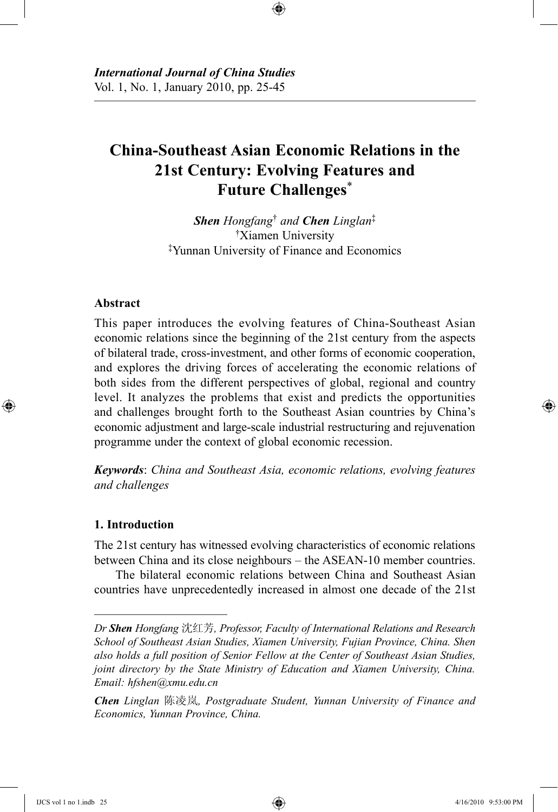# **China-Southeast Asian Economic Relations in the 21st Century: Evolving Features and Future Challenges**\*

⊕

*Shen Hongfang*† *and Chen Linglan*‡ †Xiamen University ‡Yunnan University of Finance and Economics

### **Abstract**

⊕

This paper introduces the evolving features of China-Southeast Asian economic relations since the beginning of the 21st century from the aspects of bilateral trade, cross-investment, and other forms of economic cooperation, and explores the driving forces of accelerating the economic relations of both sides from the different perspectives of global, regional and country level. It analyzes the problems that exist and predicts the opportunities and challenges brought forth to the Southeast Asian countries by China's economic adjustment and large-scale industrial restructuring and rejuvenation programme under the context of global economic recession.

*Keywords*: *China and Southeast Asia, economic relations, evolving features and challenges*

### **1. Introduction**

The 21st century has witnessed evolving characteristics of economic relations between China and its close neighbours – the ASEAN-10 member countries.

The bilateral economic relations between China and Southeast Asian countries have unprecedentedly increased in almost one decade of the 21st

*Dr Shen Hongfang* 沈红芳*, Professor, Faculty of International Relations and Research School of Southeast Asian Studies, Xiamen University, Fujian Province, China. Shen also holds a full position of Senior Fellow at the Center of Southeast Asian Studies, joint directory by the State Ministry of Education and Xiamen University, China. Email: hfshen@xmu.edu.cn*

*Chen Linglan* 陈凌岚*, Postgraduate Student, Yunnan University of Finance and Economics, Yunnan Province, China.*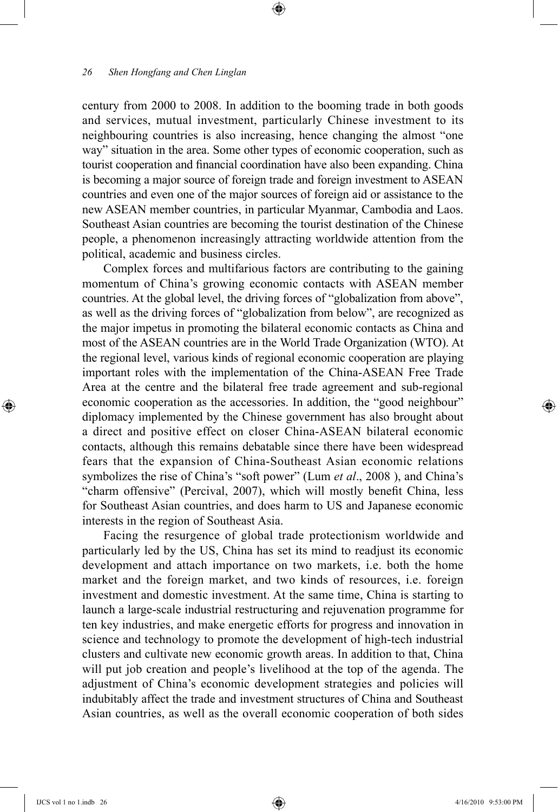century from 2000 to 2008. In addition to the booming trade in both goods and services, mutual investment, particularly Chinese investment to its neighbouring countries is also increasing, hence changing the almost "one way" situation in the area. Some other types of economic cooperation, such as tourist cooperation and financial coordination have also been expanding. China is becoming a major source of foreign trade and foreign investment to ASEAN countries and even one of the major sources of foreign aid or assistance to the new ASEAN member countries, in particular Myanmar, Cambodia and Laos. Southeast Asian countries are becoming the tourist destination of the Chinese people, a phenomenon increasingly attracting worldwide attention from the political, academic and business circles.

⊕

Complex forces and multifarious factors are contributing to the gaining momentum of China's growing economic contacts with ASEAN member countries. At the global level, the driving forces of "globalization from above", as well as the driving forces of "globalization from below", are recognized as the major impetus in promoting the bilateral economic contacts as China and most of the ASEAN countries are in the World Trade Organization (WTO). At the regional level, various kinds of regional economic cooperation are playing important roles with the implementation of the China-ASEAN Free Trade Area at the centre and the bilateral free trade agreement and sub-regional economic cooperation as the accessories. In addition, the "good neighbour" diplomacy implemented by the Chinese government has also brought about a direct and positive effect on closer China-ASEAN bilateral economic contacts, although this remains debatable since there have been widespread fears that the expansion of China-Southeast Asian economic relations symbolizes the rise of China's "soft power" (Lum *et al*., 2008 ), and China's "charm offensive" (Percival, 2007), which will mostly benefit China, less for Southeast Asian countries, and does harm to US and Japanese economic interests in the region of Southeast Asia.

Facing the resurgence of global trade protectionism worldwide and particularly led by the US, China has set its mind to readjust its economic development and attach importance on two markets, i.e. both the home market and the foreign market, and two kinds of resources, i.e. foreign investment and domestic investment. At the same time, China is starting to launch a large-scale industrial restructuring and rejuvenation programme for ten key industries, and make energetic efforts for progress and innovation in science and technology to promote the development of high-tech industrial clusters and cultivate new economic growth areas. In addition to that, China will put job creation and people's livelihood at the top of the agenda. The adjustment of China's economic development strategies and policies will indubitably affect the trade and investment structures of China and Southeast Asian countries, as well as the overall economic cooperation of both sides

⊕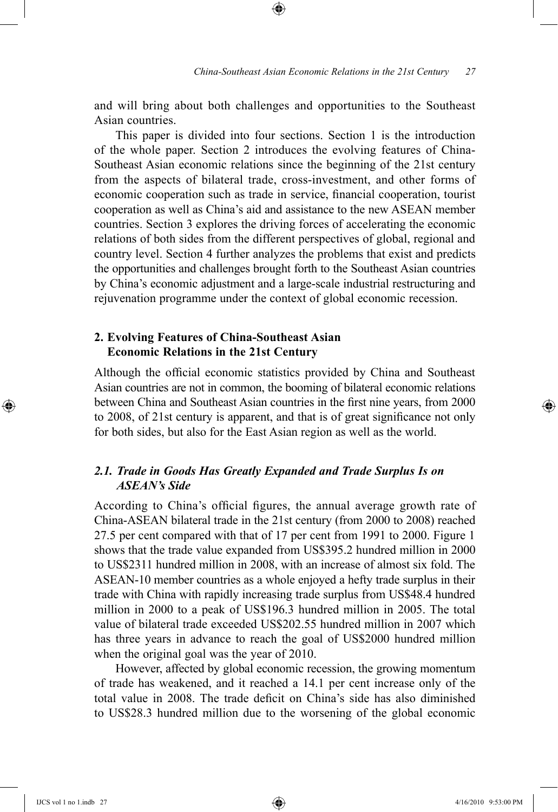and will bring about both challenges and opportunities to the Southeast Asian countries.

⊕

This paper is divided into four sections. Section 1 is the introduction of the whole paper. Section 2 introduces the evolving features of China-Southeast Asian economic relations since the beginning of the 21st century from the aspects of bilateral trade, cross-investment, and other forms of economic cooperation such as trade in service, financial cooperation, tourist cooperation as well as China's aid and assistance to the new ASEAN member countries. Section 3 explores the driving forces of accelerating the economic relations of both sides from the different perspectives of global, regional and country level. Section 4 further analyzes the problems that exist and predicts the opportunities and challenges brought forth to the Southeast Asian countries by China's economic adjustment and a large-scale industrial restructuring and rejuvenation programme under the context of global economic recession.

### **2. Evolving Features of China-Southeast Asian Economic Relations in the 21st Century**

Although the official economic statistics provided by China and Southeast Asian countries are not in common, the booming of bilateral economic relations between China and Southeast Asian countries in the first nine years, from 2000 to 2008, of 21st century is apparent, and that is of great significance not only for both sides, but also for the East Asian region as well as the world.

## *2.1. Trade in Goods Has Greatly Expanded and Trade Surplus Is on ASEAN's Side*

According to China's official figures, the annual average growth rate of China-ASEAN bilateral trade in the 21st century (from 2000 to 2008) reached 27.5 per cent compared with that of 17 per cent from 1991 to 2000. Figure 1 shows that the trade value expanded from US\$395.2 hundred million in 2000 to US\$2311 hundred million in 2008, with an increase of almost six fold. The ASEAN-10 member countries as a whole enjoyed a hefty trade surplus in their trade with China with rapidly increasing trade surplus from US\$48.4 hundred million in 2000 to a peak of US\$196.3 hundred million in 2005. The total value of bilateral trade exceeded US\$202.55 hundred million in 2007 which has three years in advance to reach the goal of US\$2000 hundred million when the original goal was the year of 2010.

However, affected by global economic recession, the growing momentum of trade has weakened, and it reached a 14.1 per cent increase only of the total value in 2008. The trade deficit on China's side has also diminished to US\$28.3 hundred million due to the worsening of the global economic

⊕

↔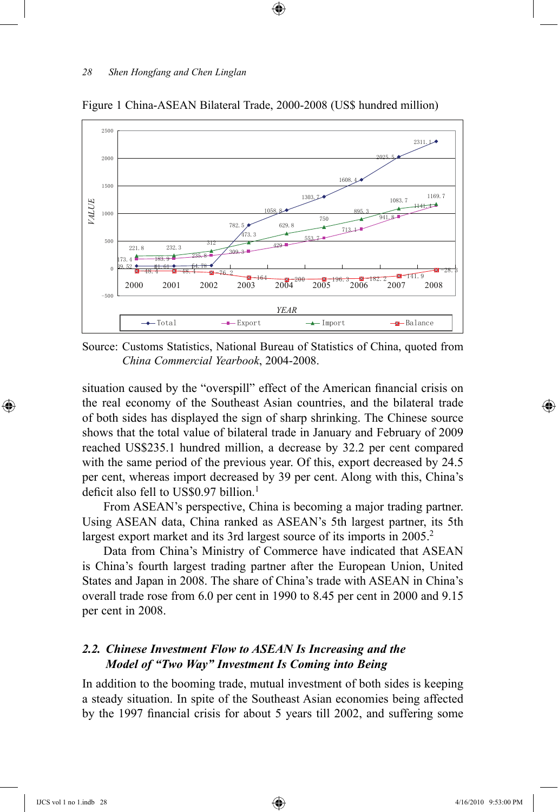

Figure 1 China-ASEAN Bilateral Trade, 2000-2008 (US\$ hundred million)

 $\textcircled{\scriptsize{+}}$ 

Source: Customs Statistics, National Bureau of Statistics of China, quoted from *China Commercial Yearbook*, 2004-2008.

situation caused by the "overspill" effect of the American financial crisis on the real economy of the Southeast Asian countries, and the bilateral trade of both sides has displayed the sign of sharp shrinking. The Chinese source shows that the total value of bilateral trade in January and February of 2009 reached US\$235.1 hundred million, a decrease by 32.2 per cent compared with the same period of the previous year. Of this, export decreased by 24.5 per cent, whereas import decreased by 39 per cent. Along with this, China's deficit also fell to US\$0.97 billion.<sup>1</sup>

From ASEAN's perspective, China is becoming a major trading partner. Using ASEAN data, China ranked as ASEAN's 5th largest partner, its 5th largest export market and its 3rd largest source of its imports in 2005.<sup>2</sup>

Data from China's Ministry of Commerce have indicated that ASEAN is China's fourth largest trading partner after the European Union, United States and Japan in 2008. The share of China's trade with ASEAN in China's overall trade rose from 6.0 per cent in 1990 to 8.45 per cent in 2000 and 9.15 per cent in 2008.

## *2.2. Chinese Investment Flow to ASEAN Is Increasing and the Model of "Two Way" Investment Is Coming into Being*

In addition to the booming trade, mutual investment of both sides is keeping a steady situation. In spite of the Southeast Asian economies being affected by the 1997 financial crisis for about 5 years till 2002, and suffering some

⊕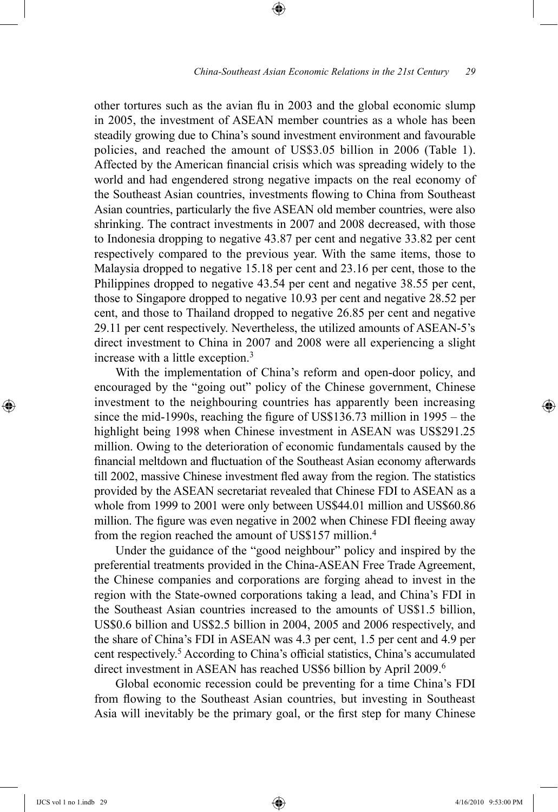other tortures such as the avian flu in 2003 and the global economic slump in 2005, the investment of ASEAN member countries as a whole has been steadily growing due to China's sound investment environment and favourable policies, and reached the amount of US\$3.05 billion in 2006 (Table 1). Affected by the American financial crisis which was spreading widely to the world and had engendered strong negative impacts on the real economy of the Southeast Asian countries, investments flowing to China from Southeast Asian countries, particularly the five ASEAN old member countries, were also shrinking. The contract investments in 2007 and 2008 decreased, with those to Indonesia dropping to negative 43.87 per cent and negative 33.82 per cent respectively compared to the previous year. With the same items, those to Malaysia dropped to negative 15.18 per cent and 23.16 per cent, those to the Philippines dropped to negative 43.54 per cent and negative 38.55 per cent, those to Singapore dropped to negative 10.93 per cent and negative 28.52 per cent, and those to Thailand dropped to negative 26.85 per cent and negative 29.11 per cent respectively. Nevertheless, the utilized amounts of ASEAN-5's direct investment to China in 2007 and 2008 were all experiencing a slight increase with a little exception.<sup>3</sup>

⊕

With the implementation of China's reform and open-door policy, and encouraged by the "going out" policy of the Chinese government, Chinese investment to the neighbouring countries has apparently been increasing since the mid-1990s, reaching the figure of US\$136.73 million in 1995 – the highlight being 1998 when Chinese investment in ASEAN was US\$291.25 million. Owing to the deterioration of economic fundamentals caused by the financial meltdown and fluctuation of the Southeast Asian economy afterwards till 2002, massive Chinese investment fled away from the region. The statistics provided by the ASEAN secretariat revealed that Chinese FDI to ASEAN as a whole from 1999 to 2001 were only between US\$44.01 million and US\$60.86 million. The figure was even negative in 2002 when Chinese FDI fleeing away from the region reached the amount of US\$157 million.4

Under the guidance of the "good neighbour" policy and inspired by the preferential treatments provided in the China-ASEAN Free Trade Agreement, the Chinese companies and corporations are forging ahead to invest in the region with the State-owned corporations taking a lead, and China's FDI in the Southeast Asian countries increased to the amounts of US\$1.5 billion, US\$0.6 billion and US\$2.5 billion in 2004, 2005 and 2006 respectively, and the share of China's FDI in ASEAN was 4.3 per cent, 1.5 per cent and 4.9 per cent respectively.<sup>5</sup> According to China's official statistics, China's accumulated direct investment in ASEAN has reached US\$6 billion by April 2009.<sup>6</sup>

Global economic recession could be preventing for a time China's FDI from flowing to the Southeast Asian countries, but investing in Southeast Asia will inevitably be the primary goal, or the first step for many Chinese

⊕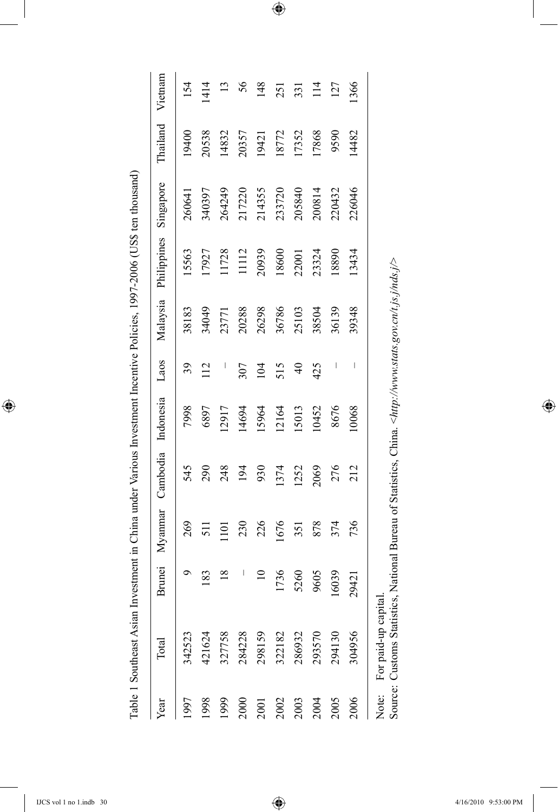| م<br>I<br>$\overline{18}$<br>$\overline{10}$<br>183<br>327758<br>284228<br>298159<br>421624<br>342523<br>1998<br>1999<br>1997<br>2000<br>2001 | 7998<br>545   |                          | Malaysia | Philippines | Singapore | Thailand | Vietnam        |
|-----------------------------------------------------------------------------------------------------------------------------------------------|---------------|--------------------------|----------|-------------|-----------|----------|----------------|
|                                                                                                                                               |               | 39                       | 38183    | 15563       | 260641    | 19400    | 154            |
|                                                                                                                                               | 6897<br>290   | 112                      | 34049    | 17927       | 340397    | 20538    | 1414           |
|                                                                                                                                               | 12917<br>248  | $\overline{\phantom{a}}$ | 23771    | 1728        | 264249    | 14832    | 13             |
|                                                                                                                                               | 14694<br>194  | 307                      | 20288    | 1112        | 217220    | 20357    | 56             |
|                                                                                                                                               | 15964<br>930  | 104                      | 26298    | 20939       | 214355    | 19421    | 148            |
| 1736<br>322182<br>2002                                                                                                                        | 12164<br>1374 | 515                      | 36786    | 18600       | 233720    | 18772    | 251            |
| 5260<br>286932<br>2003                                                                                                                        | 15013<br>1252 | $\overline{4}$           | 25103    | 22001       | 205840    | 17352    | 331            |
| 9605<br>293570<br>2004                                                                                                                        | 10452<br>2069 | 425                      | 38504    | 23324       | 200814    | 17868    | $\frac{14}{1}$ |
| 16039<br>294130<br>2005                                                                                                                       | 8676<br>276   | I                        | 36139    | 18890       | 220432    | 9590     | 127            |
| 29421<br>304956<br>2006                                                                                                                       | 10068<br>212  | I                        | 39348    | 13434       | 226046    | 14482    | 1366           |

 $\bigoplus$ 

 $\overline{\phantom{a}}$ 

 $\bigoplus$ 

Source: Customs Statistics, National Bureau of Statistics, China. <http://www.stats.gov.cn/t.js.j/nds.j/> Source: Customs Statistics, National Bureau of Statistics, China. <*http://www.stats.gov.cn/t.js.j/nds.j/*>

 $\bigoplus$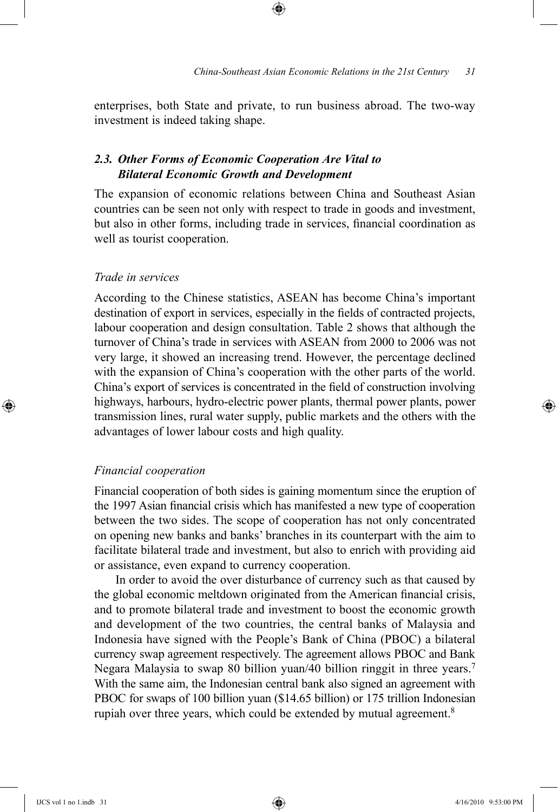enterprises, both State and private, to run business abroad. The two-way investment is indeed taking shape.

⊕

## *2.3. Other Forms of Economic Cooperation Are Vital to Bilateral Economic Growth and Development*

The expansion of economic relations between China and Southeast Asian countries can be seen not only with respect to trade in goods and investment, but also in other forms, including trade in services, financial coordination as well as tourist cooperation.

### *Trade in services*

According to the Chinese statistics, ASEAN has become China's important destination of export in services, especially in the fields of contracted projects, labour cooperation and design consultation. Table 2 shows that although the turnover of China's trade in services with ASEAN from 2000 to 2006 was not very large, it showed an increasing trend. However, the percentage declined with the expansion of China's cooperation with the other parts of the world. China's export of services is concentrated in the field of construction involving highways, harbours, hydro-electric power plants, thermal power plants, power transmission lines, rural water supply, public markets and the others with the advantages of lower labour costs and high quality.

#### *Financial cooperation*

Financial cooperation of both sides is gaining momentum since the eruption of the 1997 Asian financial crisis which has manifested a new type of cooperation between the two sides. The scope of cooperation has not only concentrated on opening new banks and banks' branches in its counterpart with the aim to facilitate bilateral trade and investment, but also to enrich with providing aid or assistance, even expand to currency cooperation.

In order to avoid the over disturbance of currency such as that caused by the global economic meltdown originated from the American financial crisis, and to promote bilateral trade and investment to boost the economic growth and development of the two countries, the central banks of Malaysia and Indonesia have signed with the People's Bank of China (PBOC) a bilateral currency swap agreement respectively. The agreement allows PBOC and Bank Negara Malaysia to swap 80 billion yuan/40 billion ringgit in three years.<sup>7</sup> With the same aim, the Indonesian central bank also signed an agreement with PBOC for swaps of 100 billion yuan (\$14.65 billion) or 175 trillion Indonesian rupiah over three years, which could be extended by mutual agreement.<sup>8</sup>

⊕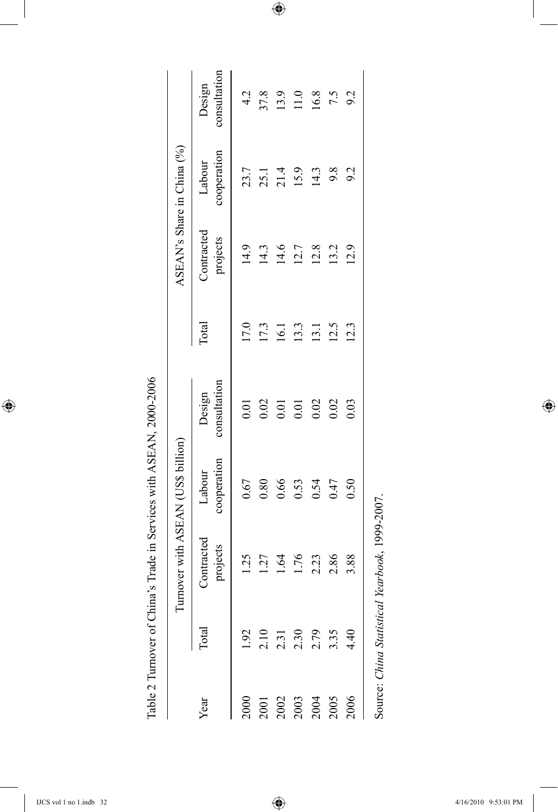Table 2 Turnover of China's Trade in Services with ASEAN, 2000-2006

|      | Table 2 Turnover of China   |                                    | 's Trade in Services with ASEAN, 2000-2006 |                        |       |                        |                            |                        |
|------|-----------------------------|------------------------------------|--------------------------------------------|------------------------|-------|------------------------|----------------------------|------------------------|
|      |                             | Turnover with ASEAN (US\$ billion) |                                            |                        |       |                        | ASEAN's Share in China (%) |                        |
| Year | Total                       | Contracted<br>projects             | cooperation<br>Labour                      | consultation<br>Design | Total | Contracted<br>projects | cooperation<br>Labour      | consultation<br>Design |
|      | 1.92                        | 1.25                               | 0.67                                       | 0.01                   | 17.0  | 14.9                   | 23.7                       | 4.2                    |
| 2001 |                             | $\overline{27}$                    | 0.80                                       | 0.02                   | 17.3  | 14.3                   |                            | 37.8                   |
| 2002 | $2.10$<br>$2.31$            | 1.64                               | 0.66                                       | 0.01                   | 16.1  | 14.6                   | 25.1<br>21.4<br>15.9       | 13.9                   |
| 2003 | 2.30                        | 1.76                               | 0.53                                       | 0.01                   | 13.3  | 12.7                   |                            | 11.0                   |
| 2004 | 2.79                        | 2.23                               | 0.54                                       | 0.02                   | 13.1  | 12.8                   | 14.3                       | 16.8                   |
| 2005 | 3.35                        | 2.86                               | 0.47                                       | 0.02                   | 12.5  | 13.2                   | 9.8                        | 7.5                    |
| 2006 | 4.40                        | 3.88                               | 0.50                                       | 0.03                   | 12.3  | 12.9                   | 9.2                        | 9.2                    |
|      | Source: China Statistical 1 | Yearbook, 1999-2007.               |                                            |                        |       |                        |                            |                        |

 $\bigoplus$ 

 $\overline{\phantom{a}}$ 

 $\bigoplus$ 

 $\bigoplus$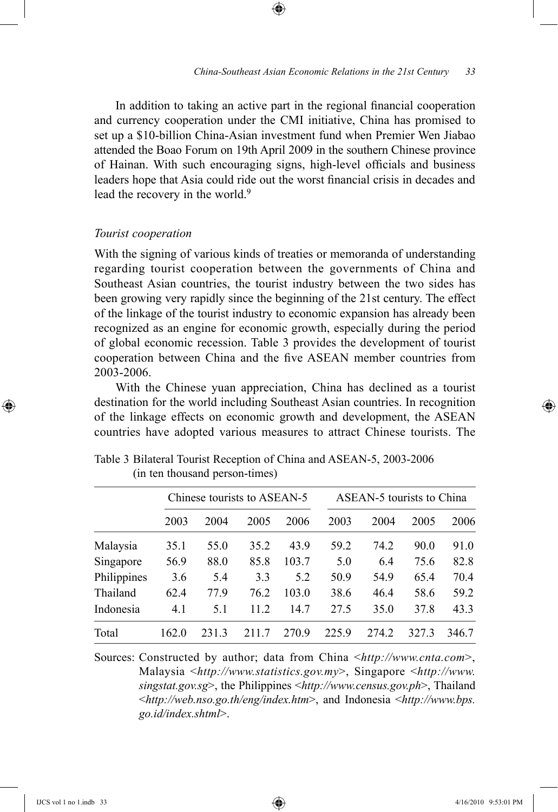In addition to taking an active part in the regional financial cooperation and currency cooperation under the CMI initiative, China has promised to set up a \$10-billion China-Asian investment fund when Premier Wen Jiabao attended the Boao Forum on 19th April 2009 in the southern Chinese province of Hainan. With such encouraging signs, high-level officials and business leaders hope that Asia could ride out the worst financial crisis in decades and lead the recovery in the world.<sup>9</sup>

⊕

#### *Tourist cooperation*

With the signing of various kinds of treaties or memoranda of understanding regarding tourist cooperation between the governments of China and Southeast Asian countries, the tourist industry between the two sides has been growing very rapidly since the beginning of the 21st century. The effect of the linkage of the tourist industry to economic expansion has already been recognized as an engine for economic growth, especially during the period of global economic recession. Table 3 provides the development of tourist cooperation between China and the five ASEAN member countries from 2003-2006.

With the Chinese yuan appreciation, China has declined as a tourist destination for the world including Southeast Asian countries. In recognition of the linkage effects on economic growth and development, the ASEAN countries have adopted various measures to attract Chinese tourists. The

|             | Chinese tourists to ASEAN-5 |      |      |       | ASEAN-5 tourists to China |       |      |       |
|-------------|-----------------------------|------|------|-------|---------------------------|-------|------|-------|
|             | 2003                        | 2004 | 2005 | 2006  | 2003                      | 2004  | 2005 | 2006  |
| Malaysia    | 35.1                        | 55.0 | 35.2 | 43.9  | 59.2                      | 74.2  | 90.0 | 91.0  |
| Singapore   | 56.9                        | 88.0 | 85.8 | 103.7 | 5.0                       | 6.4   | 75.6 | 82.8  |
| Philippines | 3.6                         | 5.4  | 3.3  | 5.2   | 50.9                      | 54.9  | 65.4 | 70.4  |
| Thailand    | 62.4                        | 77.9 | 76.2 | 103.0 | 38.6                      | 46.4  | 58.6 | 59.2  |
| Indonesia   | 4.1                         | 5.1  | 11.2 | 14.7  | 27.5                      | 35.0  | 37.8 | 43.3  |
| Total       | 162.0                       | 2313 | 2117 | 270.9 | 225.9                     | 274 2 | 3273 | 346.7 |

Table 3 Bilateral Tourist Reception of China and ASEAN-5, 2003-2006 (in ten thousand person-times)

Sources: Constructed by author; data from China <*http://www.cnta.com*>, Malaysia <*http://www.statistics.gov.my*>, Singapore <*http://www. singstat.gov.sg*>, the Philippines <*http://www.census.gov.ph*>, Thailand <*http://web.nso.go.th/eng/index.htm*>, and Indonesia <*http://www.bps. go.id/index.shtml*>.

⊕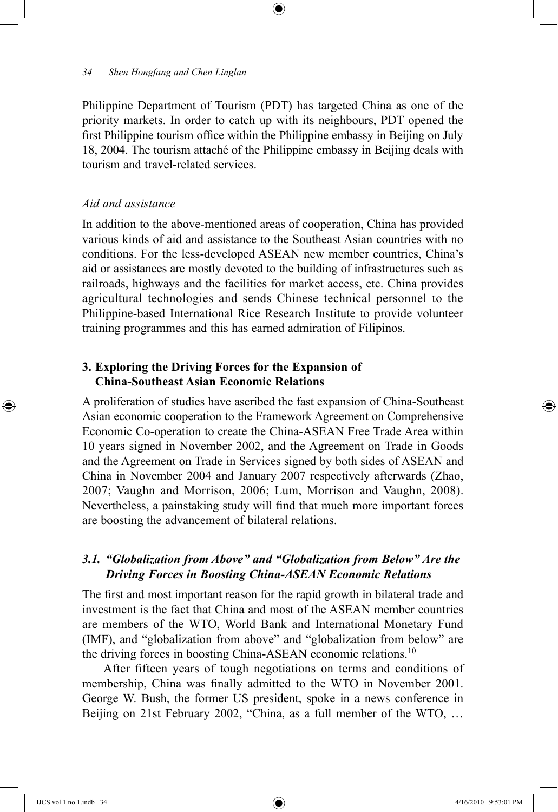Philippine Department of Tourism (PDT) has targeted China as one of the priority markets. In order to catch up with its neighbours, PDT opened the first Philippine tourism office within the Philippine embassy in Beijing on July 18, 2004. The tourism attaché of the Philippine embassy in Beijing deals with tourism and travel-related services.

⊕

### *Aid and assistance*

In addition to the above-mentioned areas of cooperation, China has provided various kinds of aid and assistance to the Southeast Asian countries with no conditions. For the less-developed ASEAN new member countries, China's aid or assistances are mostly devoted to the building of infrastructures such as railroads, highways and the facilities for market access, etc. China provides agricultural technologies and sends Chinese technical personnel to the Philippine-based International Rice Research Institute to provide volunteer training programmes and this has earned admiration of Filipinos.

## **3. Exploring the Driving Forces for the Expansion of China-Southeast Asian Economic Relations**

A proliferation of studies have ascribed the fast expansion of China-Southeast Asian economic cooperation to the Framework Agreement on Comprehensive Economic Co-operation to create the China-ASEAN Free Trade Area within 10 years signed in November 2002, and the Agreement on Trade in Goods and the Agreement on Trade in Services signed by both sides of ASEAN and China in November 2004 and January 2007 respectively afterwards (Zhao, 2007; Vaughn and Morrison, 2006; Lum, Morrison and Vaughn, 2008). Nevertheless, a painstaking study will find that much more important forces are boosting the advancement of bilateral relations.

### *3.1. "Globalization from Above" and "Globalization from Below" Are the Driving Forces in Boosting China-ASEAN Economic Relations*

The first and most important reason for the rapid growth in bilateral trade and investment is the fact that China and most of the ASEAN member countries are members of the WTO, World Bank and International Monetary Fund (IMF), and "globalization from above" and "globalization from below" are the driving forces in boosting China-ASEAN economic relations.10

After fifteen years of tough negotiations on terms and conditions of membership, China was finally admitted to the WTO in November 2001. George W. Bush, the former US president, spoke in a news conference in Beijing on 21st February 2002, "China, as a full member of the WTO, …

⊕

↔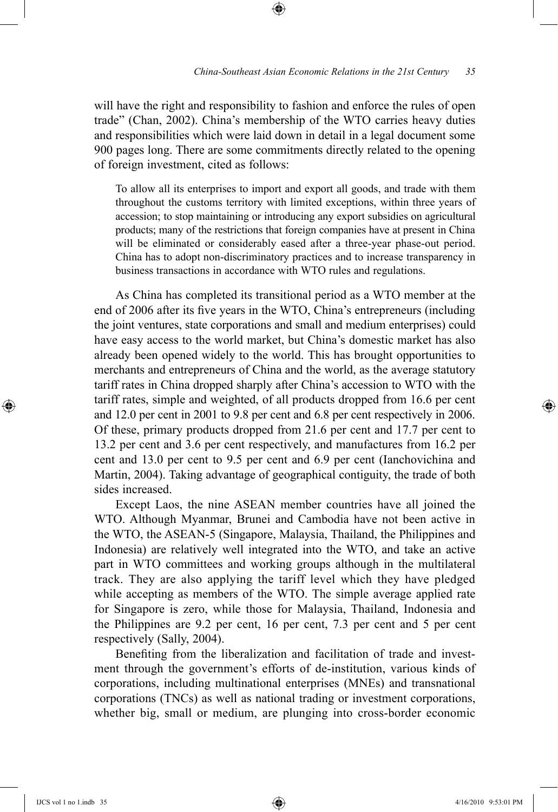will have the right and responsibility to fashion and enforce the rules of open trade" (Chan, 2002). China's membership of the WTO carries heavy duties and responsibilities which were laid down in detail in a legal document some 900 pages long. There are some commitments directly related to the opening of foreign investment, cited as follows:

⊕

To allow all its enterprises to import and export all goods, and trade with them throughout the customs territory with limited exceptions, within three years of accession; to stop maintaining or introducing any export subsidies on agricultural products; many of the restrictions that foreign companies have at present in China will be eliminated or considerably eased after a three-year phase-out period. China has to adopt non-discriminatory practices and to increase transparency in business transactions in accordance with WTO rules and regulations.

As China has completed its transitional period as a WTO member at the end of 2006 after its five years in the WTO, China's entrepreneurs (including the joint ventures, state corporations and small and medium enterprises) could have easy access to the world market, but China's domestic market has also already been opened widely to the world. This has brought opportunities to merchants and entrepreneurs of China and the world, as the average statutory tariff rates in China dropped sharply after China's accession to WTO with the tariff rates, simple and weighted, of all products dropped from 16.6 per cent and 12.0 per cent in 2001 to 9.8 per cent and 6.8 per cent respectively in 2006. Of these, primary products dropped from 21.6 per cent and 17.7 per cent to 13.2 per cent and 3.6 per cent respectively, and manufactures from 16.2 per cent and 13.0 per cent to 9.5 per cent and 6.9 per cent (Ianchovichina and Martin, 2004). Taking advantage of geographical contiguity, the trade of both sides increased.

Except Laos, the nine ASEAN member countries have all joined the WTO. Although Myanmar, Brunei and Cambodia have not been active in the WTO, the ASEAN-5 (Singapore, Malaysia, Thailand, the Philippines and Indonesia) are relatively well integrated into the WTO, and take an active part in WTO committees and working groups although in the multilateral track. They are also applying the tariff level which they have pledged while accepting as members of the WTO. The simple average applied rate for Singapore is zero, while those for Malaysia, Thailand, Indonesia and the Philippines are 9.2 per cent, 16 per cent, 7.3 per cent and 5 per cent respectively (Sally, 2004).

Benefiting from the liberalization and facilitation of trade and investment through the government's efforts of de-institution, various kinds of corporations, including multinational enterprises (MNEs) and transnational corporations (TNCs) as well as national trading or investment corporations, whether big, small or medium, are plunging into cross-border economic

⊕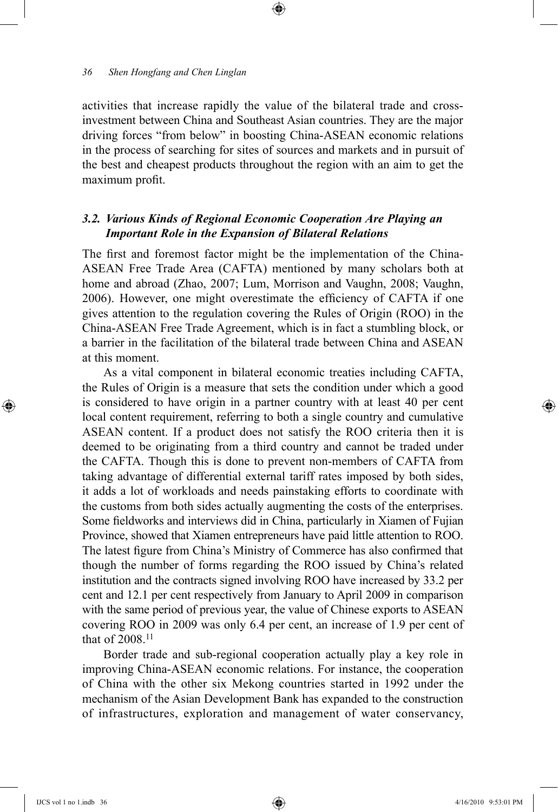activities that increase rapidly the value of the bilateral trade and crossinvestment between China and Southeast Asian countries. They are the major driving forces "from below" in boosting China-ASEAN economic relations in the process of searching for sites of sources and markets and in pursuit of the best and cheapest products throughout the region with an aim to get the maximum profit.

⊕

### *3.2. Various Kinds of Regional Economic Cooperation Are Playing an Important Role in the Expansion of Bilateral Relations*

The first and foremost factor might be the implementation of the China-ASEAN Free Trade Area (CAFTA) mentioned by many scholars both at home and abroad (Zhao, 2007; Lum, Morrison and Vaughn, 2008; Vaughn, 2006). However, one might overestimate the efficiency of CAFTA if one gives attention to the regulation covering the Rules of Origin (ROO) in the China-ASEAN Free Trade Agreement, which is in fact a stumbling block, or a barrier in the facilitation of the bilateral trade between China and ASEAN at this moment.

As a vital component in bilateral economic treaties including CAFTA, the Rules of Origin is a measure that sets the condition under which a good is considered to have origin in a partner country with at least 40 per cent local content requirement, referring to both a single country and cumulative ASEAN content. If a product does not satisfy the ROO criteria then it is deemed to be originating from a third country and cannot be traded under the CAFTA. Though this is done to prevent non-members of CAFTA from taking advantage of differential external tariff rates imposed by both sides, it adds a lot of workloads and needs painstaking efforts to coordinate with the customs from both sides actually augmenting the costs of the enterprises. Some fieldworks and interviews did in China, particularly in Xiamen of Fujian Province, showed that Xiamen entrepreneurs have paid little attention to ROO. The latest figure from China's Ministry of Commerce has also confirmed that though the number of forms regarding the ROO issued by China's related institution and the contracts signed involving ROO have increased by 33.2 per cent and 12.1 per cent respectively from January to April 2009 in comparison with the same period of previous year, the value of Chinese exports to ASEAN covering ROO in 2009 was only 6.4 per cent, an increase of 1.9 per cent of that of 2008.<sup>11</sup>

Border trade and sub-regional cooperation actually play a key role in improving China-ASEAN economic relations. For instance, the cooperation of China with the other six Mekong countries started in 1992 under the mechanism of the Asian Development Bank has expanded to the construction of infrastructures, exploration and management of water conservancy,

⊕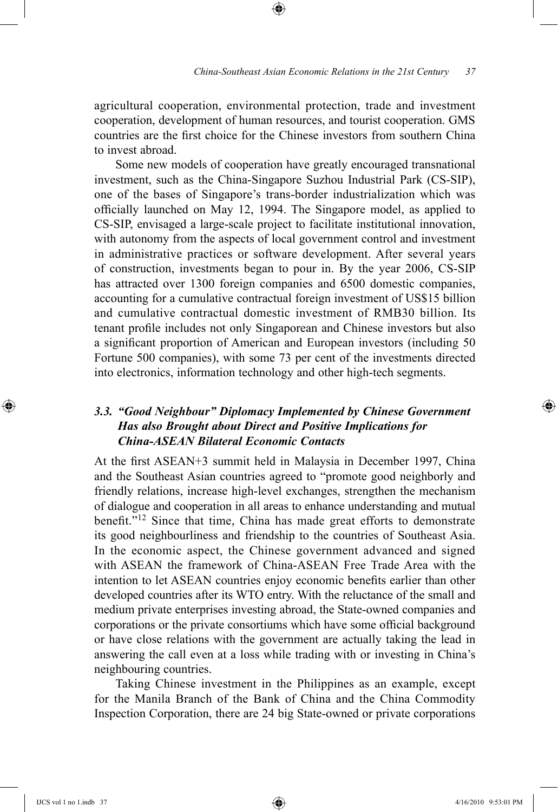agricultural cooperation, environmental protection, trade and investment cooperation, development of human resources, and tourist cooperation. GMS countries are the first choice for the Chinese investors from southern China to invest abroad.

⊕

Some new models of cooperation have greatly encouraged transnational investment, such as the China-Singapore Suzhou Industrial Park (CS-SIP), one of the bases of Singapore's trans-border industrialization which was officially launched on May 12, 1994. The Singapore model, as applied to CS-SIP, envisaged a large-scale project to facilitate institutional innovation, with autonomy from the aspects of local government control and investment in administrative practices or software development. After several years of construction, investments began to pour in. By the year 2006, CS-SIP has attracted over 1300 foreign companies and 6500 domestic companies, accounting for a cumulative contractual foreign investment of US\$15 billion and cumulative contractual domestic investment of RMB30 billion. Its tenant profile includes not only Singaporean and Chinese investors but also a significant proportion of American and European investors (including 50 Fortune 500 companies), with some 73 per cent of the investments directed into electronics, information technology and other high-tech segments.

# *3.3. "Good Neighbour" Diplomacy Implemented by Chinese Government Has also Brought about Direct and Positive Implications for China-ASEAN Bilateral Economic Contacts*

At the first ASEAN+3 summit held in Malaysia in December 1997, China and the Southeast Asian countries agreed to "promote good neighborly and friendly relations, increase high-level exchanges, strengthen the mechanism of dialogue and cooperation in all areas to enhance understanding and mutual benefit."12 Since that time, China has made great efforts to demonstrate its good neighbourliness and friendship to the countries of Southeast Asia. In the economic aspect, the Chinese government advanced and signed with ASEAN the framework of China-ASEAN Free Trade Area with the intention to let ASEAN countries enjoy economic benefits earlier than other developed countries after its WTO entry. With the reluctance of the small and medium private enterprises investing abroad, the State-owned companies and corporations or the private consortiums which have some official background or have close relations with the government are actually taking the lead in answering the call even at a loss while trading with or investing in China's neighbouring countries.

Taking Chinese investment in the Philippines as an example, except for the Manila Branch of the Bank of China and the China Commodity Inspection Corporation, there are 24 big State-owned or private corporations

⊕

♠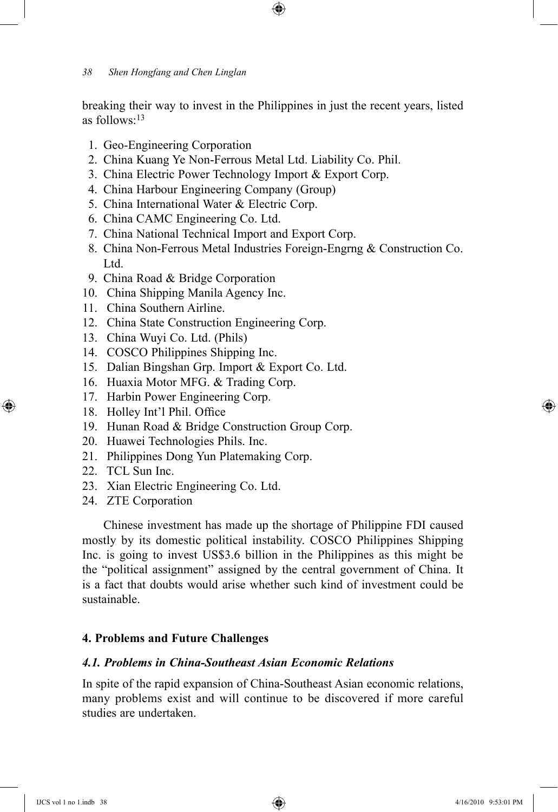breaking their way to invest in the Philippines in just the recent years, listed as follows:13

⊕

- 1. Geo-Engineering Corporation
- 2. China Kuang Ye Non-Ferrous Metal Ltd. Liability Co. Phil.
- 3. China Electric Power Technology Import & Export Corp.
- 4. China Harbour Engineering Company (Group)
- 5. China International Water & Electric Corp.
- 6. China CAMC Engineering Co. Ltd.
- 7. China National Technical Import and Export Corp.
- 8. China Non-Ferrous Metal Industries Foreign-Engrng & Construction Co. Ltd.
- 9. China Road & Bridge Corporation
- 10. China Shipping Manila Agency Inc.
- 11. China Southern Airline.
- 12. China State Construction Engineering Corp.
- 13. China Wuyi Co. Ltd. (Phils)
- 14. COSCO Philippines Shipping Inc.
- 15. Dalian Bingshan Grp. Import & Export Co. Ltd.
- 16. Huaxia Motor MFG. & Trading Corp.
- 17. Harbin Power Engineering Corp.
- 18. Holley Int'l Phil. Office
- 19. Hunan Road & Bridge Construction Group Corp.
- 20. Huawei Technologies Phils. Inc.
- 21. Philippines Dong Yun Platemaking Corp.
- 22. TCL Sun Inc.

⊕

- 23. Xian Electric Engineering Co. Ltd.
- 24. ZTE Corporation

Chinese investment has made up the shortage of Philippine FDI caused mostly by its domestic political instability. COSCO Philippines Shipping Inc. is going to invest US\$3.6 billion in the Philippines as this might be the "political assignment" assigned by the central government of China. It is a fact that doubts would arise whether such kind of investment could be sustainable.

### **4. Problems and Future Challenges**

### *4.1. Problems in China-Southeast Asian Economic Relations*

In spite of the rapid expansion of China-Southeast Asian economic relations, many problems exist and will continue to be discovered if more careful studies are undertaken.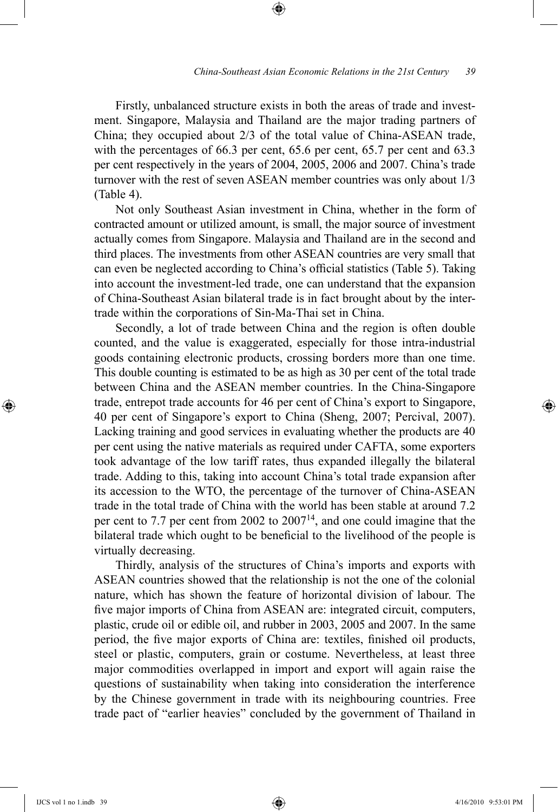Firstly, unbalanced structure exists in both the areas of trade and investment. Singapore, Malaysia and Thailand are the major trading partners of China; they occupied about 2/3 of the total value of China-ASEAN trade, with the percentages of 66.3 per cent, 65.6 per cent, 65.7 per cent and 63.3 per cent respectively in the years of 2004, 2005, 2006 and 2007. China's trade turnover with the rest of seven ASEAN member countries was only about 1/3 (Table 4).

⊕

Not only Southeast Asian investment in China, whether in the form of contracted amount or utilized amount, is small, the major source of investment actually comes from Singapore. Malaysia and Thailand are in the second and third places. The investments from other ASEAN countries are very small that can even be neglected according to China's official statistics (Table 5). Taking into account the investment-led trade, one can understand that the expansion of China-Southeast Asian bilateral trade is in fact brought about by the intertrade within the corporations of Sin-Ma-Thai set in China.

Secondly, a lot of trade between China and the region is often double counted, and the value is exaggerated, especially for those intra-industrial goods containing electronic products, crossing borders more than one time. This double counting is estimated to be as high as 30 per cent of the total trade between China and the ASEAN member countries. In the China-Singapore trade, entrepot trade accounts for 46 per cent of China's export to Singapore, 40 per cent of Singapore's export to China (Sheng, 2007; Percival, 2007). Lacking training and good services in evaluating whether the products are 40 per cent using the native materials as required under CAFTA, some exporters took advantage of the low tariff rates, thus expanded illegally the bilateral trade. Adding to this, taking into account China's total trade expansion after its accession to the WTO, the percentage of the turnover of China-ASEAN trade in the total trade of China with the world has been stable at around 7.2 per cent to 7.7 per cent from 2002 to 200714, and one could imagine that the bilateral trade which ought to be beneficial to the livelihood of the people is virtually decreasing.

Thirdly, analysis of the structures of China's imports and exports with ASEAN countries showed that the relationship is not the one of the colonial nature, which has shown the feature of horizontal division of labour. The five major imports of China from ASEAN are: integrated circuit, computers, plastic, crude oil or edible oil, and rubber in 2003, 2005 and 2007. In the same period, the five major exports of China are: textiles, finished oil products, steel or plastic, computers, grain or costume. Nevertheless, at least three major commodities overlapped in import and export will again raise the questions of sustainability when taking into consideration the interference by the Chinese government in trade with its neighbouring countries. Free trade pact of "earlier heavies" concluded by the government of Thailand in

⊕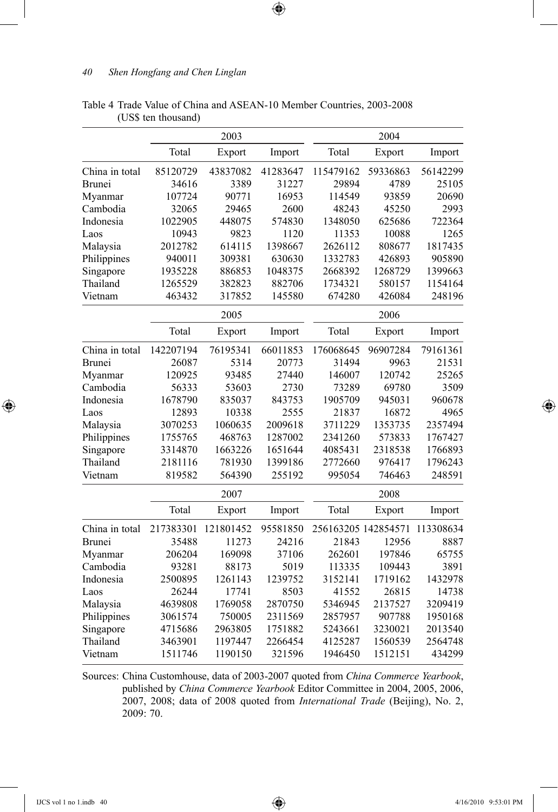|                |           | 2003      |          |                     | 2004     |           |
|----------------|-----------|-----------|----------|---------------------|----------|-----------|
|                | Total     | Export    | Import   | Total               | Export   | Import    |
| China in total | 85120729  | 43837082  | 41283647 | 115479162           | 59336863 | 56142299  |
| Brunei         | 34616     | 3389      | 31227    | 29894               | 4789     | 25105     |
| Myanmar        | 107724    | 90771     | 16953    | 114549              | 93859    | 20690     |
| Cambodia       | 32065     | 29465     | 2600     | 48243               | 45250    | 2993      |
| Indonesia      | 1022905   | 448075    | 574830   | 1348050             | 625686   | 722364    |
| Laos           | 10943     | 9823      | 1120     | 11353               | 10088    | 1265      |
| Malaysia       | 2012782   | 614115    | 1398667  | 2626112             | 808677   | 1817435   |
| Philippines    | 940011    | 309381    | 630630   | 1332783             | 426893   | 905890    |
| Singapore      | 1935228   | 886853    | 1048375  | 2668392             | 1268729  | 1399663   |
| Thailand       | 1265529   | 382823    | 882706   | 1734321             | 580157   | 1154164   |
| Vietnam        | 463432    | 317852    | 145580   | 674280              | 426084   | 248196    |
|                |           | 2005      |          |                     | 2006     |           |
|                | Total     | Export    | Import   | Total               | Export   | Import    |
| China in total | 142207194 | 76195341  | 66011853 | 176068645           | 96907284 | 79161361  |
| Brunei         | 26087     | 5314      | 20773    | 31494               | 9963     | 21531     |
| Myanmar        | 120925    | 93485     | 27440    | 146007              | 120742   | 25265     |
| Cambodia       | 56333     | 53603     | 2730     | 73289               | 69780    | 3509      |
| Indonesia      | 1678790   | 835037    | 843753   | 1905709             | 945031   | 960678    |
| Laos           | 12893     | 10338     | 2555     | 21837               | 16872    | 4965      |
| Malaysia       | 3070253   | 1060635   | 2009618  | 3711229             | 1353735  | 2357494   |
| Philippines    | 1755765   | 468763    | 1287002  | 2341260             | 573833   | 1767427   |
| Singapore      | 3314870   | 1663226   | 1651644  | 4085431             | 2318538  | 1766893   |
| Thailand       | 2181116   | 781930    | 1399186  | 2772660             | 976417   | 1796243   |
| Vietnam        | 819582    | 564390    | 255192   | 995054              | 746463   | 248591    |
|                |           | 2007      |          |                     | 2008     |           |
|                | Total     | Export    | Import   | Total               | Export   | Import    |
| China in total | 217383301 | 121801452 | 95581850 | 256163205 142854571 |          | 113308634 |
| Brunei         | 35488     | 11273     | 24216    | 21843               | 12956    | 8887      |
| Myanmar        | 206204    | 169098    | 37106    | 262601              | 197846   | 65755     |
| Cambodia       | 93281     | 88173     | 5019     | 113335              | 109443   | 3891      |
| Indonesia      | 2500895   | 1261143   | 1239752  | 3152141             | 1719162  | 1432978   |
| Laos           | 26244     | 17741     | 8503     | 41552               | 26815    | 14738     |
| Malaysia       | 4639808   | 1769058   | 2870750  | 5346945             | 2137527  | 3209419   |
| Philippines    | 3061574   | 750005    | 2311569  | 2857957             | 907788   | 1950168   |
| Singapore      | 4715686   | 2963805   | 1751882  | 5243661             | 3230021  | 2013540   |
| Thailand       | 3463901   | 1197447   | 2266454  | 4125287             | 1560539  | 2564748   |
| Vietnam        | 1511746   | 1190150   | 321596   | 1946450             | 1512151  | 434299    |

Table 4 Trade Value of China and ASEAN-10 Member Countries, 2003-2008 (US\$ ten thousand)

 $\bigoplus$ 

Sources: China Customhouse, data of 2003-2007 quoted from *China Commerce Yearbook*, published by *China Commerce Yearbook* Editor Committee in 2004, 2005, 2006, 2007, 2008; data of 2008 quoted from *International Trade* (Beijing), No. 2, 2009: 70.

 $\bigoplus$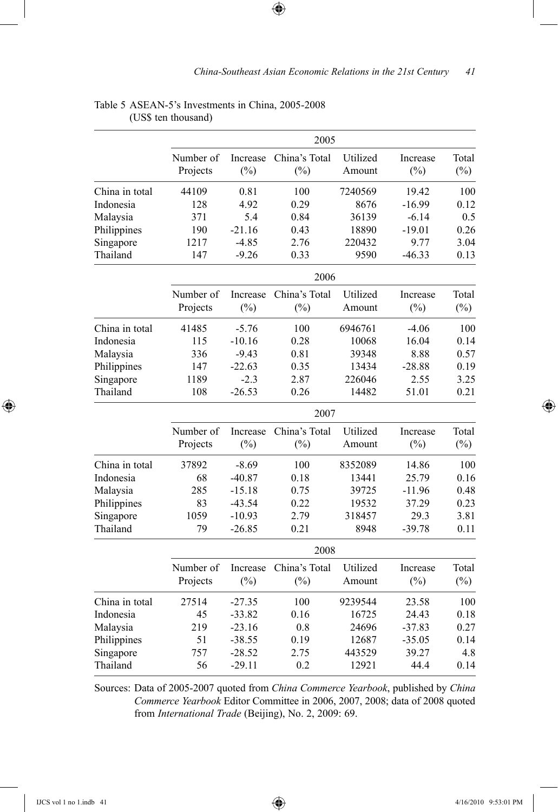$\bigoplus$ 

|                |                       |                    | 2005                    |                    |                    |                 |  |  |  |
|----------------|-----------------------|--------------------|-------------------------|--------------------|--------------------|-----------------|--|--|--|
|                | Number of<br>Projects | Increase<br>$(\%)$ | China's Total<br>$(\%)$ | Utilized<br>Amount | Increase<br>$(\%)$ | Total<br>$(\%)$ |  |  |  |
| China in total | 44109                 | 0.81               | 100                     | 7240569            | 19.42              | 100             |  |  |  |
| Indonesia      | 128                   | 4.92               | 0.29                    | 8676               | $-16.99$           | 0.12            |  |  |  |
| Malaysia       | 371                   | 5.4                | 0.84                    | 36139              | $-6.14$            | 0.5             |  |  |  |
| Philippines    | 190                   | $-21.16$           | 0.43                    | 18890              | $-19.01$           | 0.26            |  |  |  |
| Singapore      | 1217                  | $-4.85$            | 2.76                    | 220432             | 9.77               | 3.04            |  |  |  |
| Thailand       | 147                   | $-9.26$            | 0.33                    | 9590               | $-46.33$           | 0.13            |  |  |  |
|                |                       |                    | 2006                    |                    |                    |                 |  |  |  |
|                | Number of             | Increase           | China's Total           | Utilized           | Increase           | Total           |  |  |  |
|                | Projects              | $(\%)$             | (%)                     | Amount             | (%)                | $(\%)$          |  |  |  |
| China in total | 41485                 | $-5.76$            | 100                     | 6946761            | $-4.06$            | 100             |  |  |  |
| Indonesia      | 115                   | $-10.16$           | 0.28                    | 10068              | 16.04              | 0.14            |  |  |  |
| Malaysia       | 336                   | $-9.43$            | 0.81                    | 39348              | 8.88               | 0.57            |  |  |  |
| Philippines    | 147                   | $-22.63$           | 0.35                    | 13434              | $-28.88$           | 0.19            |  |  |  |
| Singapore      | 1189                  | $-2.3$             | 2.87                    | 226046             | 2.55               | 3.25            |  |  |  |
| Thailand       | 108                   | $-26.53$           | 0.26                    | 14482              | 51.01              | 0.21            |  |  |  |
|                |                       | 2007               |                         |                    |                    |                 |  |  |  |
|                | Number of             | Increase           | China's Total           | Utilized           | Increase           | Total           |  |  |  |
|                | Projects              | $(\%)$             | $(\%)$                  | Amount             | $(\%)$             | $(\%)$          |  |  |  |
| China in total | 37892                 | $-8.69$            | 100                     | 8352089            | 14.86              | 100             |  |  |  |
| Indonesia      | 68                    | $-40.87$           | 0.18                    | 13441              | 25.79              | 0.16            |  |  |  |
| Malaysia       | 285                   | $-15.18$           | 0.75                    | 39725              | $-11.96$           | 0.48            |  |  |  |
| Philippines    | 83                    | $-43.54$           | 0.22                    | 19532              | 37.29              | 0.23            |  |  |  |
| Singapore      | 1059                  | $-10.93$           | 2.79                    | 318457             | 29.3               | 3.81            |  |  |  |
| Thailand       | 79                    | $-26.85$           | 0.21                    | 8948               | -39.78             | 0.11            |  |  |  |
|                |                       | 2008               |                         |                    |                    |                 |  |  |  |
|                | Number of             | Increase           | China's Total           | Utilized           | Increase           | Total           |  |  |  |
|                | Projects              | $(\%)$             | $(\%)$                  | Amount             | $(\%)$             | $(\%)$          |  |  |  |
| China in total | 27514                 | $-27.35$           | 100                     | 9239544            | 23.58              | 100             |  |  |  |
| Indonesia      | 45                    | $-33.82$           | 0.16                    | 16725              | 24.43              | 0.18            |  |  |  |
| Malaysia       | 219                   | $-23.16$           | 0.8                     | 24696              | $-37.83$           | 0.27            |  |  |  |
| Philippines    | 51                    | $-38.55$           | 0.19                    | 12687              | $-35.05$           | 0.14            |  |  |  |
| Singapore      | 757                   | $-28.52$           | 2.75                    | 443529             | 39.27              | 4.8             |  |  |  |
| Thailand       | 56                    | $-29.11$           | 0.2                     | 12921              | 44.4               | 0.14            |  |  |  |

#### Table 5 ASEAN-5's Investments in China, 2005-2008 (US\$ ten thousand)

Sources: Data of 2005-2007 quoted from *China Commerce Yearbook*, published by *China Commerce Yearbook* Editor Committee in 2006, 2007, 2008; data of 2008 quoted from *International Trade* (Beijing), No. 2, 2009: 69.

 $\bigoplus$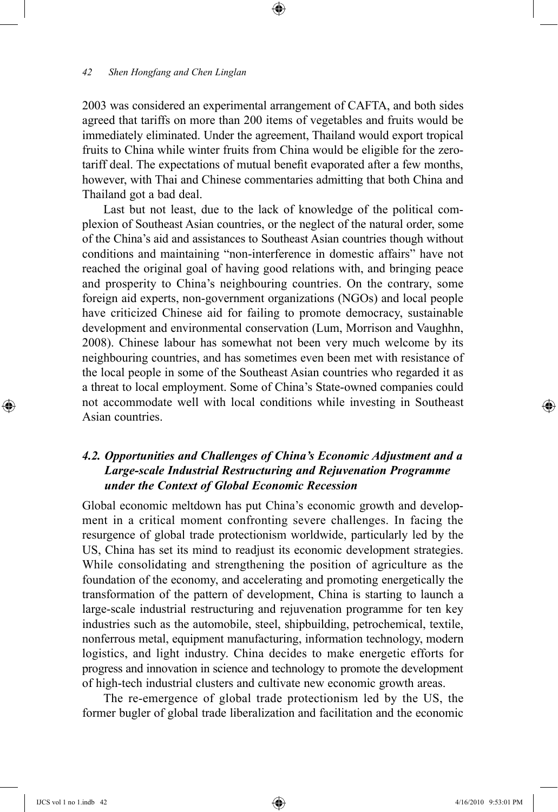2003 was considered an experimental arrangement of CAFTA, and both sides agreed that tariffs on more than 200 items of vegetables and fruits would be immediately eliminated. Under the agreement, Thailand would export tropical fruits to China while winter fruits from China would be eligible for the zerotariff deal. The expectations of mutual benefit evaporated after a few months, however, with Thai and Chinese commentaries admitting that both China and Thailand got a bad deal.

⊕

Last but not least, due to the lack of knowledge of the political complexion of Southeast Asian countries, or the neglect of the natural order, some of the China's aid and assistances to Southeast Asian countries though without conditions and maintaining "non-interference in domestic affairs" have not reached the original goal of having good relations with, and bringing peace and prosperity to China's neighbouring countries. On the contrary, some foreign aid experts, non-government organizations (NGOs) and local people have criticized Chinese aid for failing to promote democracy, sustainable development and environmental conservation (Lum, Morrison and Vaughhn, 2008). Chinese labour has somewhat not been very much welcome by its neighbouring countries, and has sometimes even been met with resistance of the local people in some of the Southeast Asian countries who regarded it as a threat to local employment. Some of China's State-owned companies could not accommodate well with local conditions while investing in Southeast Asian countries.

## *4.2. Opportunities and Challenges of China's Economic Adjustment and a Large-scale Industrial Restructuring and Rejuvenation Programme under the Context of Global Economic Recession*

Global economic meltdown has put China's economic growth and development in a critical moment confronting severe challenges. In facing the resurgence of global trade protectionism worldwide, particularly led by the US, China has set its mind to readjust its economic development strategies. While consolidating and strengthening the position of agriculture as the foundation of the economy, and accelerating and promoting energetically the transformation of the pattern of development, China is starting to launch a large-scale industrial restructuring and rejuvenation programme for ten key industries such as the automobile, steel, shipbuilding, petrochemical, textile, nonferrous metal, equipment manufacturing, information technology, modern logistics, and light industry. China decides to make energetic efforts for progress and innovation in science and technology to promote the development of high-tech industrial clusters and cultivate new economic growth areas.

The re-emergence of global trade protectionism led by the US, the former bugler of global trade liberalization and facilitation and the economic

⊕

↔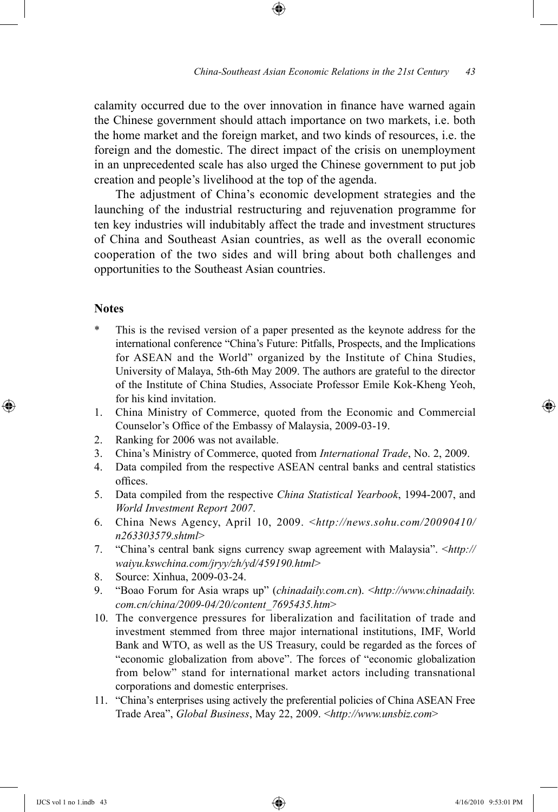calamity occurred due to the over innovation in finance have warned again the Chinese government should attach importance on two markets, i.e. both the home market and the foreign market, and two kinds of resources, i.e. the foreign and the domestic. The direct impact of the crisis on unemployment in an unprecedented scale has also urged the Chinese government to put job creation and people's livelihood at the top of the agenda.

⊕

The adjustment of China's economic development strategies and the launching of the industrial restructuring and rejuvenation programme for ten key industries will indubitably affect the trade and investment structures of China and Southeast Asian countries, as well as the overall economic cooperation of the two sides and will bring about both challenges and opportunities to the Southeast Asian countries.

### **Notes**

⊕

- This is the revised version of a paper presented as the keynote address for the international conference "China's Future: Pitfalls, Prospects, and the Implications for ASEAN and the World" organized by the Institute of China Studies, University of Malaya, 5th-6th May 2009. The authors are grateful to the director of the Institute of China Studies, Associate Professor Emile Kok-Kheng Yeoh, for his kind invitation.
- 1. China Ministry of Commerce, quoted from the Economic and Commercial Counselor's Office of the Embassy of Malaysia, 2009-03-19.
- 2. Ranking for 2006 was not available.
- 3. China's Ministry of Commerce, quoted from *International Trade*, No. 2, 2009.
- 4. Data compiled from the respective ASEAN central banks and central statistics offices.
- 5. Data compiled from the respective *China Statistical Yearbook*, 1994-2007, and *World Investment Report 2007*.
- 6. China News Agency, April 10, 2009. <*http://news.sohu.com/20090410/ n263303579.shtml*>
- 7. "China's central bank signs currency swap agreement with Malaysia". <*http:// waiyu.kswchina.com/jryy/zh/yd/459190.html*>
- 8. Source: Xinhua, 2009-03-24.
- 9. "Boao Forum for Asia wraps up" (*chinadaily.com.cn*). <*http://www.chinadaily. com.cn/china/2009-04/20/content\_7695435.htm*>
- 10. The convergence pressures for liberalization and facilitation of trade and investment stemmed from three major international institutions, IMF, World Bank and WTO, as well as the US Treasury, could be regarded as the forces of "economic globalization from above". The forces of "economic globalization from below" stand for international market actors including transnational corporations and domestic enterprises.
- 11. "China's enterprises using actively the preferential policies of China ASEAN Free Trade Area", *Global Business*, May 22, 2009. <*http://www.unsbiz.com*>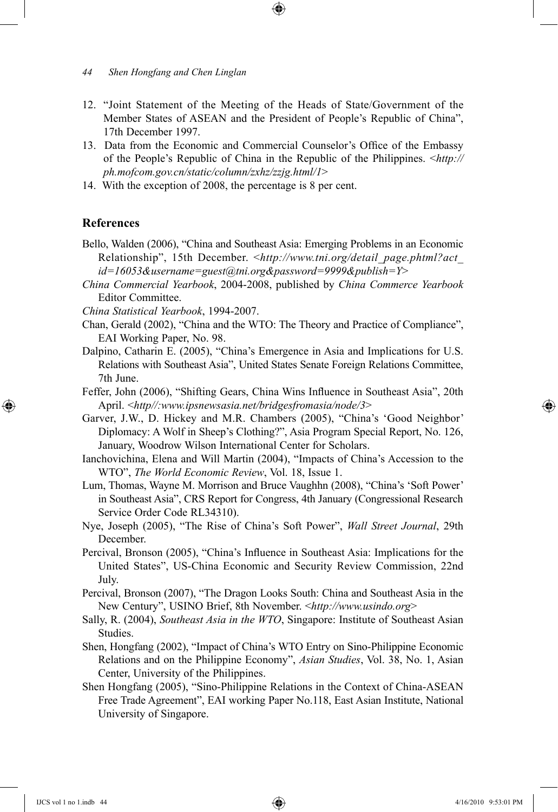- 12. "Joint Statement of the Meeting of the Heads of State/Government of the Member States of ASEAN and the President of People's Republic of China", 17th December 1997.
- 13. Data from the Economic and Commercial Counselor's Office of the Embassy of the People's Republic of China in the Republic of the Philippines. <*http:// ph.mofcom.gov.cn/static/column/zxhz/zzjg.html/1*>
- 14. With the exception of 2008, the percentage is 8 per cent.

#### **References**

⊕

- Bello, Walden (2006), "China and Southeast Asia: Emerging Problems in an Economic Relationship", 15th December. <*http://www.tni.org/detail\_page.phtml?act\_ id=16053&username=guest@tni.org&password=9999&publish=Y*>
- *China Commercial Yearbook*, 2004-2008, published by *China Commerce Yearbook* Editor Committee.
- *China Statistical Yearbook*, 1994-2007.
- Chan, Gerald (2002), "China and the WTO: The Theory and Practice of Compliance", EAI Working Paper, No. 98.
- Dalpino, Catharin E. (2005), "China's Emergence in Asia and Implications for U.S. Relations with Southeast Asia", United States Senate Foreign Relations Committee, 7th June.
- Feffer, John (2006), "Shifting Gears, China Wins Influence in Southeast Asia", 20th April. <*http//:www.ipsnewsasia.net/bridgesfromasia/node/3*>
- Garver, J.W., D. Hickey and M.R. Chambers (2005), "China's 'Good Neighbor' Diplomacy: A Wolf in Sheep's Clothing?", Asia Program Special Report, No. 126, January, Woodrow Wilson International Center for Scholars.
- Ianchovichina, Elena and Will Martin (2004), "Impacts of China's Accession to the WTO", *The World Economic Review*, Vol. 18, Issue 1.
- Lum, Thomas, Wayne M. Morrison and Bruce Vaughhn (2008), "China's 'Soft Power' in Southeast Asia", CRS Report for Congress, 4th January (Congressional Research Service Order Code RL34310).
- Nye, Joseph (2005), "The Rise of China's Soft Power", *Wall Street Journal*, 29th December.
- Percival, Bronson (2005), "China's Influence in Southeast Asia: Implications for the United States", US-China Economic and Security Review Commission, 22nd July.
- Percival, Bronson (2007), "The Dragon Looks South: China and Southeast Asia in the New Century", USINO Brief, 8th November. <*http://www.usindo.org*>
- Sally, R. (2004), *Southeast Asia in the WTO*, Singapore: Institute of Southeast Asian Studies.
- Shen, Hongfang (2002), "Impact of China's WTO Entry on Sino-Philippine Economic Relations and on the Philippine Economy", *Asian Studies*, Vol. 38, No. 1, Asian Center, University of the Philippines.
- Shen Hongfang (2005), "Sino-Philippine Relations in the Context of China-ASEAN Free Trade Agreement", EAI working Paper No.118, East Asian Institute, National University of Singapore.

*<sup>44</sup> Shen Hongfang and Chen Linglan*